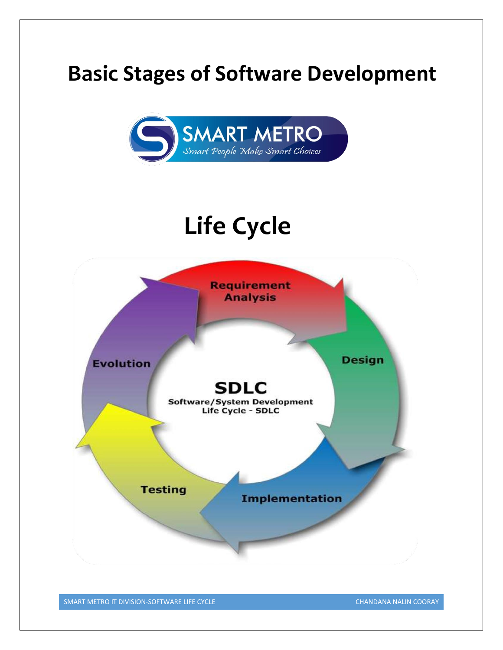# **Basic Stages of Software Development**



# **Life Cycle**



SMART METRO IT DIVISION-SOFTWARE LIFE CYCLE CHANDANA NALIN COORAY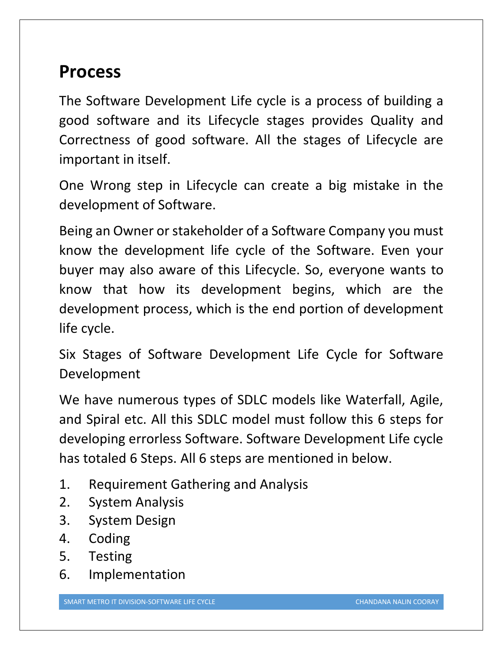### **Process**

The Software Development Life cycle is a process of building a good software and its Lifecycle stages provides Quality and Correctness of good software. All the stages of Lifecycle are important in itself.

One Wrong step in Lifecycle can create a big mistake in the development of Software.

Being an Owner or stakeholder of a Software Company you must know the development life cycle of the Software. Even your buyer may also aware of this Lifecycle. So, everyone wants to know that how its development begins, which are the development process, which is the end portion of development life cycle.

Six Stages of Software Development Life Cycle for Software Development

We have numerous types of SDLC models like Waterfall, Agile, and Spiral etc. All this SDLC model must follow this 6 steps for developing errorless Software. Software Development Life cycle has totaled 6 Steps. All 6 steps are mentioned in below.

- 1. Requirement Gathering and Analysis
- 2. System Analysis
- 3. System Design
- 4. Coding
- 5. Testing
- 6. Implementation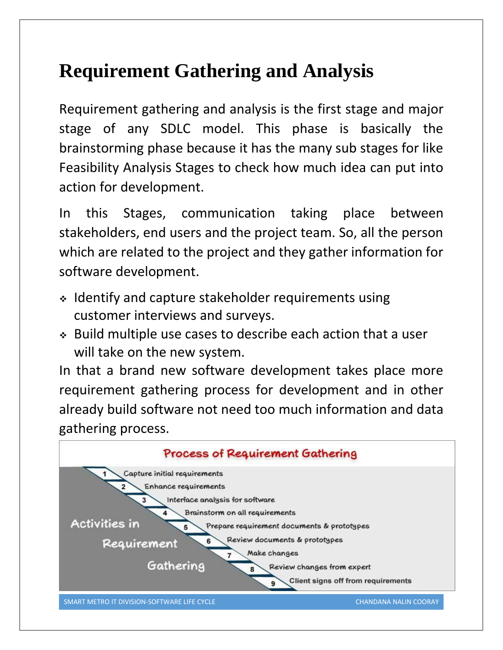## **Requirement Gathering and Analysis**

Requirement gathering and analysis is the first stage and major stage of any SDLC model. This phase is basically the brainstorming phase because it has the many sub stages for like Feasibility Analysis Stages to check how much idea can put into action for development.

In this Stages, communication taking place between stakeholders, end users and the project team. So, all the person which are related to the project and they gather information for software development.

- Identify and capture stakeholder requirements using customer interviews and surveys.
- Build multiple use cases to describe each action that a user will take on the new system.

In that a brand new software development takes place more requirement gathering process for development and in other already build software not need too much information and data gathering process.

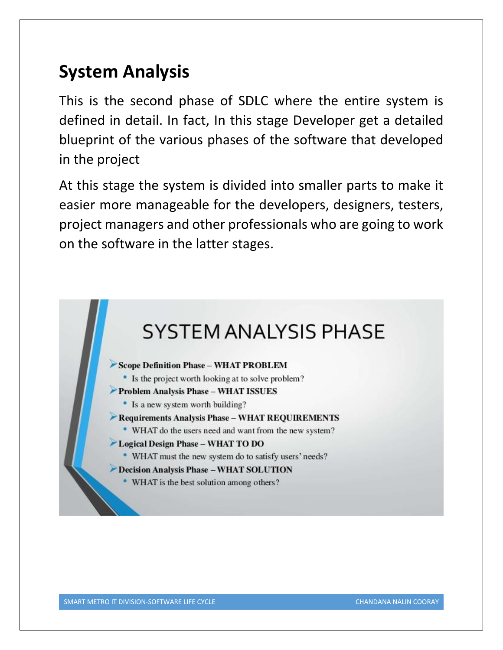### **System Analysis**

This is the second phase of SDLC where the entire system is defined in detail. In fact, In this stage Developer get a detailed blueprint of the various phases of the software that developed in the project

At this stage the system is divided into smaller parts to make it easier more manageable for the developers, designers, testers, project managers and other professionals who are going to work on the software in the latter stages.

# **SYSTEM ANALYSIS PHASE**

Scope Definition Phase - WHAT PROBLEM

• Is the project worth looking at to solve problem?

Problem Analysis Phase - WHAT ISSUES

• Is a new system worth building?

Requirements Analysis Phase - WHAT REQUIREMENTS

• WHAT do the users need and want from the new system?

#### Logical Design Phase - WHAT TO DO

• WHAT must the new system do to satisfy users' needs?

Decision Analysis Phase - WHAT SOLUTION

• WHAT is the best solution among others?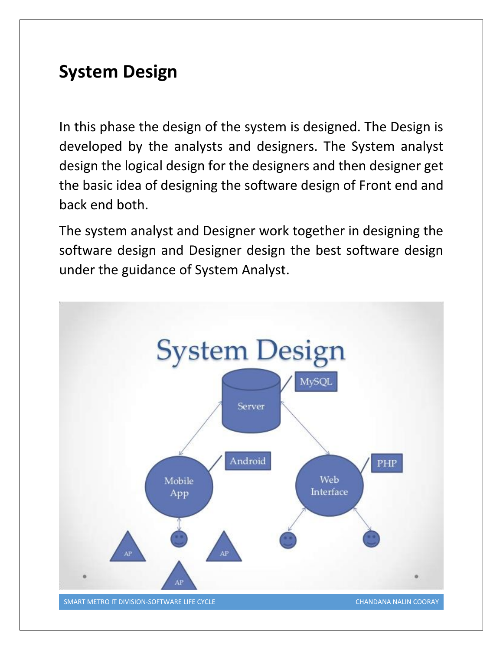### **System Design**

In this phase the design of the system is designed. The Design is developed by the analysts and designers. The System analyst design the logical design for the designers and then designer get the basic idea of designing the software design of Front end and back end both.

The system analyst and Designer work together in designing the software design and Designer design the best software design under the guidance of System Analyst.

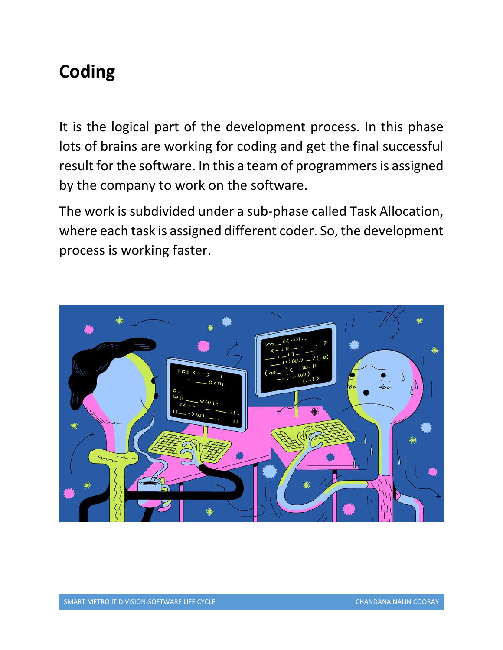### **Coding**

It is the logical part of the development process. In this phase lots of brains are working for coding and get the final successful result for the software. In this a team of programmers is assigned by the company to work on the software.

The work is subdivided under a sub-phase called Task Allocation, where each task is assigned different coder. So, the development process is working faster.

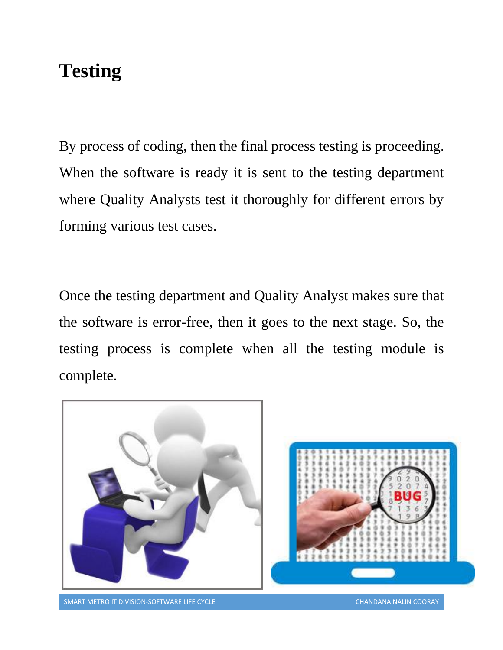### **Testing**

By process of coding, then the final process testing is proceeding. When the software is ready it is sent to the testing department where Quality Analysts test it thoroughly for different errors by forming various test cases.

Once the testing department and Quality Analyst makes sure that the software is error-free, then it goes to the next stage. So, the testing process is complete when all the testing module is complete.

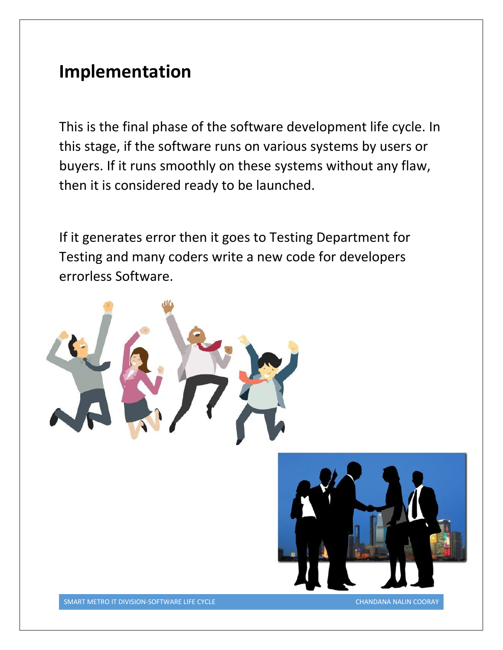### **Implementation**

This is the final phase of the software development life cycle. In this stage, if the software runs on various systems by users or buyers. If it runs smoothly on these systems without any flaw, then it is considered ready to be launched.

If it generates error then it goes to Testing Department for Testing and many coders write a new code for developers errorless Software.